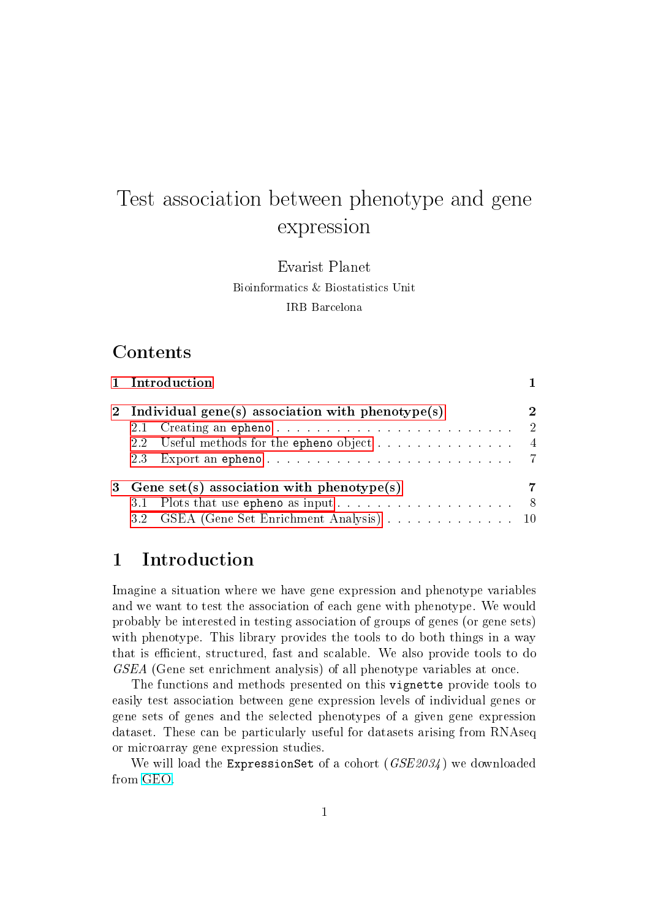# Test association between phenotype and gene expression

Evarist Planet Bioinformatics & Biostatistics Unit IRB Barcelona

## Contents

|                                                    | 1 Introduction                             |                |  |  |  |
|----------------------------------------------------|--------------------------------------------|----------------|--|--|--|
| 2 Individual gene(s) association with phenotype(s) |                                            |                |  |  |  |
|                                                    |                                            | $\overline{2}$ |  |  |  |
|                                                    | 2.2 Useful methods for the epheno object 4 |                |  |  |  |
|                                                    |                                            |                |  |  |  |
| 3 Gene set(s) association with phenotype(s)        |                                            |                |  |  |  |
|                                                    |                                            |                |  |  |  |
|                                                    | 3.2 GSEA (Gene Set Enrichment Analysis) 10 |                |  |  |  |

# <span id="page-0-0"></span>1 Introduction

Imagine a situation where we have gene expression and phenotype variables and we want to test the association of each gene with phenotype. We would probably be interested in testing association of groups of genes (or gene sets) with phenotype. This library provides the tools to do both things in a way that is efficient, structured, fast and scalable. We also provide tools to do GSEA (Gene set enrichment analysis) of all phenotype variables at once.

The functions and methods presented on this vignette provide tools to easily test association between gene expression levels of individual genes or gene sets of genes and the selected phenotypes of a given gene expression dataset. These can be particularly useful for datasets arising from RNAseq or microarray gene expression studies.

We will load the ExpressionSet of a cohort  $(GSE2034)$  we downloaded from [GEO.](http://www.ncbi.nlm.nih.gov/geo/)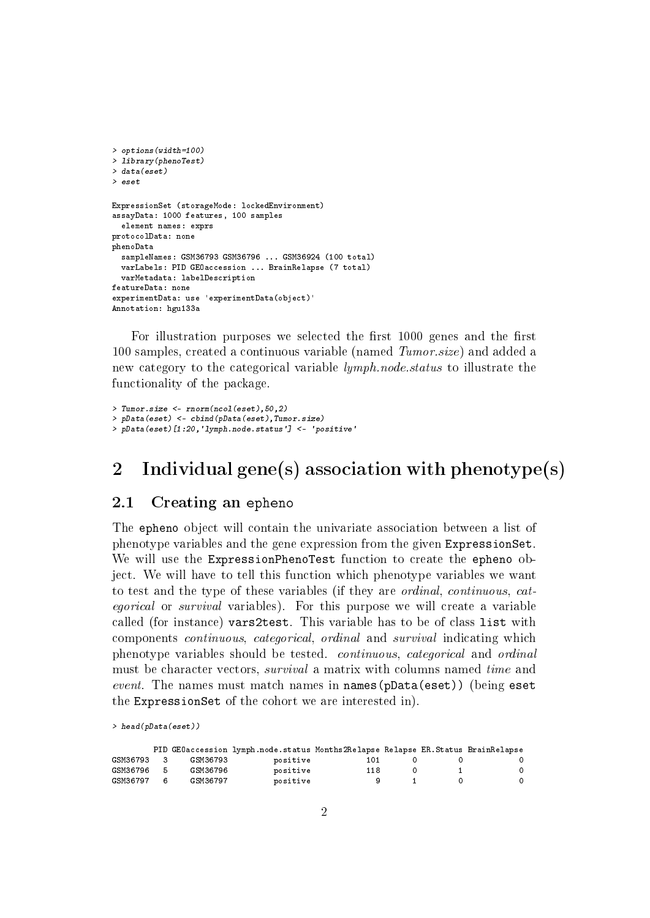```
> options(width=100)
> library(phenoTest)
> data(eset)
> eset
ExpressionSet (storageMode: lockedEnvironment)
assayData: 1000 features, 100 samples
  element names: exprs
protocolData: none
phenoData
  sampleNames: GSM36793 GSM36796 ... GSM36924 (100 total)
  varLabels: PID GEOaccession ... BrainRelapse (7 total)
  varMetadata: labelDescription
featureData: none
experimentData: use 'experimentData(object)'
Annotation: hgu133a
```
For illustration purposes we selected the first 1000 genes and the first 100 samples, created a continuous variable (named Tumor.size) and added a new category to the categorical variable lymph.node.status to illustrate the functionality of the package.

```
> Tumor.size <- rnorm(ncol(eset),50,2)
> pData(eset) <- cbind(pData(eset),Tumor.size)
> pData(eset)[1:20,'lymph.node.status'] <- 'positive'
```
# <span id="page-1-0"></span>2 Individual gene(s) association with phenotype(s)

#### <span id="page-1-1"></span>2.1 Creating an epheno

The epheno object will contain the univariate association between a list of phenotype variables and the gene expression from the given ExpressionSet. We will use the ExpressionPhenoTest function to create the epheno object. We will have to tell this function which phenotype variables we want to test and the type of these variables (if they are ordinal, continuous, categorical or survival variables). For this purpose we will create a variable called (for instance) vars2test. This variable has to be of class list with components continuous, categorical, ordinal and survival indicating which phenotype variables should be tested. continuous, categorical and ordinal must be character vectors, survival a matrix with columns named time and event. The names must match names in names(pData(eset)) (being eset the ExpressionSet of the cohort we are interested in).

> head(pData(eset))

|          |              |          | PID GEOaccession lymph.node.status Months2Relapse Relapse ER.Status BrainRelapse |     |  |          |
|----------|--------------|----------|----------------------------------------------------------------------------------|-----|--|----------|
| GSM36793 | $\mathbf{R}$ | GSM36793 | positive                                                                         | 101 |  |          |
| GSM36796 | - 5          | GSM36796 | positive                                                                         | 118 |  | $\Omega$ |
| GSM36797 | б.           | GSM36797 | positive                                                                         |     |  | $\Omega$ |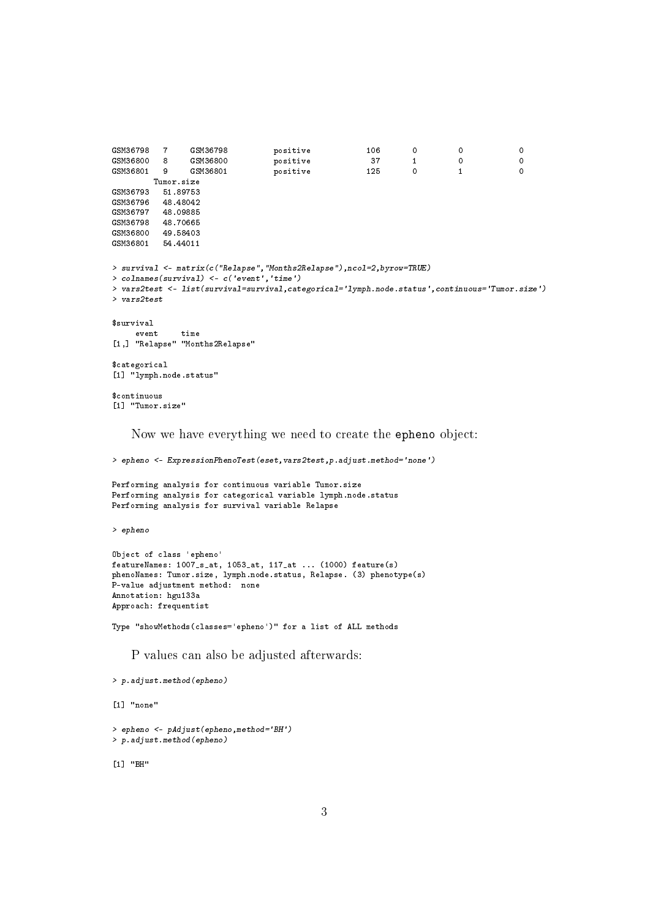```
GSM36798 7 GSM36798 positive 106 0 0 0
              GSM36800 positive 37 1 0 0<br>GSM36800 positive 37 1 0 0<br>GSM36801 positive 125 0 1 0
GSM36801 9 GSM36801 positive 125 0 1 0
      Tumor.size
GSM36793 51.89753
GSM36796 48.48042
GSM36797 48.09885
GSM36798 48.70665
GSM36800 49.58403
GSM36801 54.44011
> survival <- matrix(c("Relapse","Months2Relapse"),ncol=2,byrow=TRUE)
> colnames(survival) <- c('event','time')
> vars2test <- list(survival=survival,categorical='lymph.node.status',continuous='Tumor.size')
> vars2test
$survival
   event time
[1,] "Relapse" "Months2Relapse"
$categorical
[1] "lymph.node.status"
$continuous
[1] "Tumor.size"
   Now we have everything we need to create the epheno object:
```
> epheno <- ExpressionPhenoTest(eset,vars2test,p.adjust.method='none')

Performing analysis for continuous variable Tumor.size Performing analysis for categorical variable lymph.node.status Performing analysis for survival variable Relapse

> epheno

```
Object of class 'epheno'
featureNames: 1007_s_at, 1053_at, 117_at ... (1000) feature(s)
phenoNames: Tumor.size, lymph.node.status, Relapse. (3) phenotype(s)
P-value adjustment method: none
Annotation: hgu133a
Approach: frequentist
```
Type "showMethods(classes='epheno')" for a list of ALL methods

P values can also be adjusted afterwards:

```
> p.adjust.method(epheno)
```
[1] "none" > epheno <- pAdjust(epheno,method='BH') > p.adjust.method(epheno)

[1] "BH"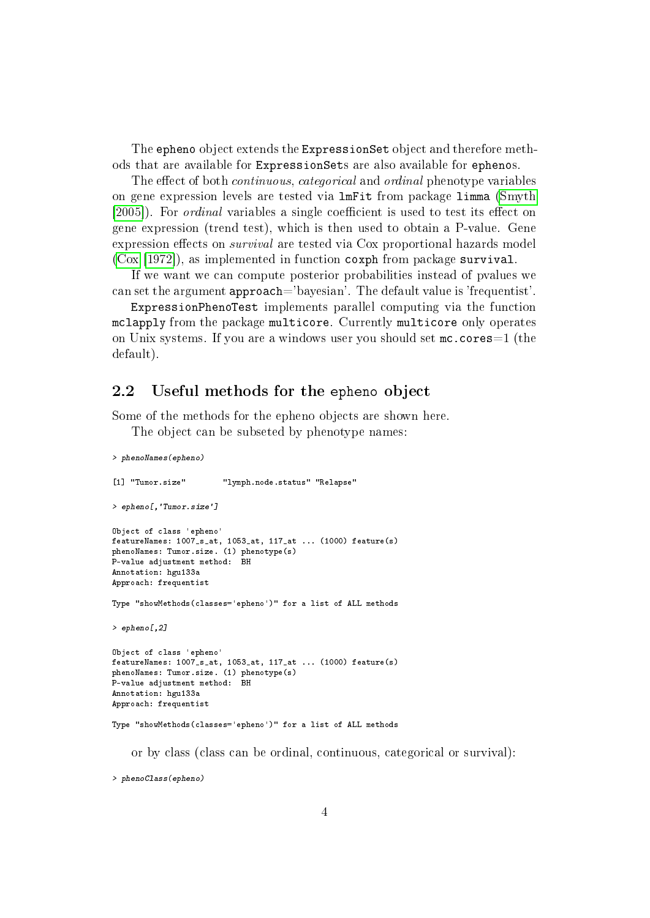The epheno object extends the ExpressionSet object and therefore methods that are available for ExpressionSets are also available for ephenos.

The effect of both *continuous, categorical* and *ordinal* phenotype variables on gene expression levels are tested via lmFit from package limma [\(Smyth](#page-13-0) [\[2005\]](#page-13-0)). For *ordinal* variables a single coefficient is used to test its effect on gene expression (trend test), which is then used to obtain a P-value. Gene expression effects on *survival* are tested via Cox proportional hazards model [\(Cox](#page-13-1) [\[1972\]](#page-13-1)), as implemented in function coxph from package survival.

If we want we can compute posterior probabilities instead of pvalues we can set the argument approach='bayesian'. The default value is 'frequentist'.

ExpressionPhenoTest implements parallel computing via the function mclapply from the package multicore. Currently multicore only operates on Unix systems. If you are a windows user you should set mc.cores=1 (the default).

#### <span id="page-3-0"></span>2.2 Useful methods for the epheno object

Some of the methods for the epheno objects are shown here.

The object can be subseted by phenotype names:

```
> phenoNames(epheno)
[1] "Tumor.size" "lymph.node.status" "Relapse"
> epheno[,'Tumor.size']
Object of class 'epheno'
featureNames: 1007_s_at, 1053_at, 117_at ... (1000) feature(s)
phenoNames: Tumor.size. (1) phenotype(s)
P-value adjustment method: BH
Annotation: hgu133a
Approach: frequentist
Type "showMethods(classes='epheno')" for a list of ALL methods
> epheno[,2]
Object of class 'epheno'
featureNames: 1007_s_at, 1053_at, 117_at ... (1000) feature(s)
phenoNames: Tumor.size. (1) phenotype(s)
P-value adjustment method: BH
Annotation: hgu133a
Approach: frequentist
Type "showMethods(classes='epheno')" for a list of ALL methods
```
or by class (class can be ordinal, continuous, categorical or survival):

> phenoClass(epheno)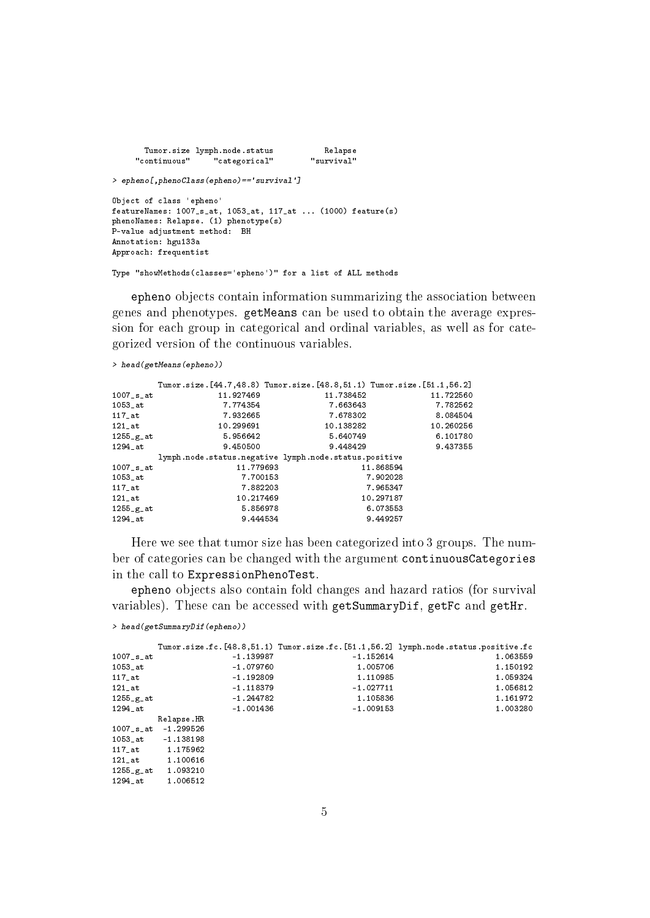```
Tumor.size lymph.node.status and Relapse<br>continuous" categorical" "survival"
     "continuous" <sup>"</sup> "categorical"
> epheno[,phenoClass(epheno)=='survival']
Object of class 'epheno'
featureNames: 1007_s_at, 1053_at, 117_at ... (1000) feature(s)
phenoNames: Relapse. (1) phenotype(s)
P-value adjustment method: BH
Annotation: hgu133a
Approach: frequentist
```
Type "showMethods(classes='epheno')" for a list of ALL methods

epheno objects contain information summarizing the association between genes and phenotypes. getMeans can be used to obtain the average expression for each group in categorical and ordinal variables, as well as for categorized version of the continuous variables.

```
> head(getMeans(epheno))
```

|                          |           | Tumor.size. [44.7,48.8) Tumor.size. [48.8,51.1) Tumor.size. [51.1,56.2] |           |
|--------------------------|-----------|-------------------------------------------------------------------------|-----------|
| $1007$ _s_at             | 11.927469 | 11.738452                                                               | 11 722560 |
| 1053 at                  | 7.774354  | 7.663643                                                                | 7.782562  |
| $117$ _at                | 7.932665  | 7.678302                                                                | 8.084504  |
| $121$ _at                | 10.299691 | 10 138282                                                               | 10.260256 |
| $1255-g_{at}$            | 5.956642  | 5.640749                                                                | 6.101780  |
| 1294 at                  | 9.450500  | 9.448429                                                                | 9.437355  |
|                          |           | lymph.node.status.negative lymph.node.status.positive                   |           |
| $1007$ _s_at             | 11.779693 |                                                                         | 11.868594 |
| $1053$ _at               | 7.700153  |                                                                         | 7.902028  |
| $117$ at                 | 7.882203  |                                                                         | 7.965347  |
| $121$ _at                | 10.217469 |                                                                         | 10.297187 |
| $1255-g$ <sub>2</sub> at | 5 856978  |                                                                         | 6.073553  |
| 1294 at                  | 9.444534  |                                                                         | 9.449257  |

Here we see that tumor size has been categorized into 3 groups. The number of categories can be changed with the argument continuousCategories in the call to ExpressionPhenoTest.

epheno objects also contain fold changes and hazard ratios (for survival variables). These can be accessed with getSummaryDif, getFc and getHr.

```
> head(getSummaryDif(epheno))
```
1255\_g\_at 1.093210 1294\_at 1.006512

|               |                          |             | Tumor.size.fc.[48.8,51.1) Tumor.size.fc.[51.1,56.2] lymph.node.status.positive.fc |
|---------------|--------------------------|-------------|-----------------------------------------------------------------------------------|
| $1007$ _s_at  | $-1.139987$              | $-1.152614$ | 1.063559                                                                          |
| 1053 at       | $-1.079760$              | 1.005706    | 1.150192                                                                          |
| $117$ _at     | $-1.192809$              | 1.110985    | 1.059324                                                                          |
| $121$ _at     | $-1.118379$              | $-1.027711$ | 1.056812                                                                          |
| $1255$ $g$ at | $-1.244782$              | 1.105836    | 1.161972                                                                          |
| 1294_at       | $-1.001436$              | $-1.009153$ | 1.003280                                                                          |
|               | Relapse.HR               |             |                                                                                   |
|               | $1007$ _s_at $-1.299526$ |             |                                                                                   |
| 1053 at       | $-1.138198$              |             |                                                                                   |
| 117 at        | 1.175962                 |             |                                                                                   |
| 121 at        | 1.100616                 |             |                                                                                   |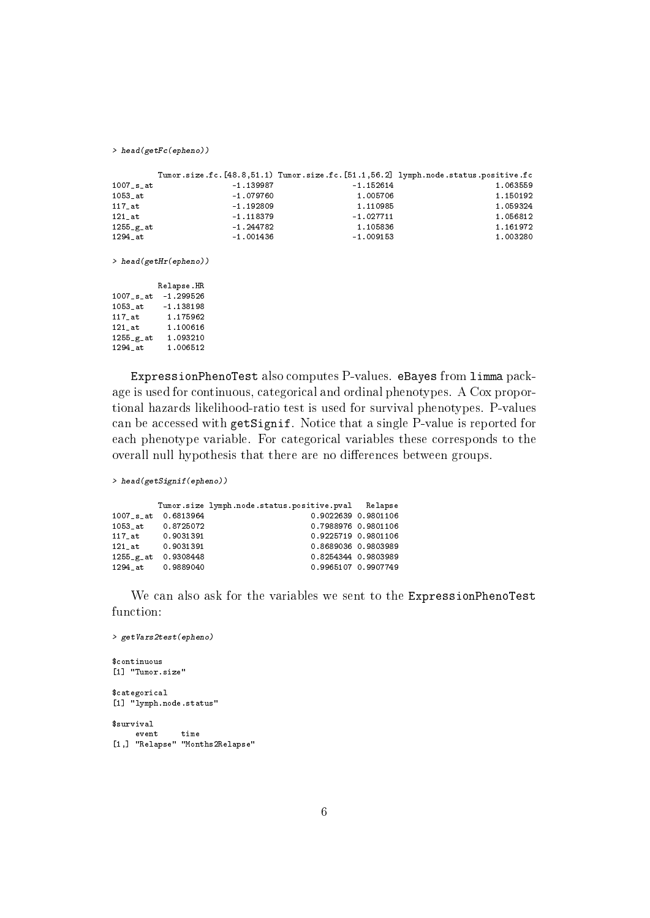> head(getFc(epheno))

|               |             |             | Tumor.size.fc.[48.8,51.1) Tumor.size.fc.[51.1,56.2] lymph.node.status.positive.fc |
|---------------|-------------|-------------|-----------------------------------------------------------------------------------|
| $1007$ _s_at  | $-1.139987$ | $-1.152614$ | 1.063559                                                                          |
| $1053$ at     | $-1.079760$ | 1.005706    | 1.150192                                                                          |
| $117$ _at     | $-1.192809$ | 1.110985    | 1 059324                                                                          |
| 121 at        | $-1.118379$ | $-1.027711$ | 1.056812                                                                          |
| $1255$ $g$ at | $-1.244782$ | 1.105836    | 1.161972                                                                          |
| 1294 at       | $-1.001436$ | $-1.009153$ | 1.003280                                                                          |

> head(getHr(epheno))

|              | Relapse HR  |
|--------------|-------------|
| $1007$ _s_at | $-1.299526$ |
| 1053 at      | $-1.138198$ |
| 117 at       | 1.175962    |
| 121 at       | 1.100616    |
| 1255_g_at    | 1.093210    |
| 1294 at      | 1.006512    |

ExpressionPhenoTest also computes P-values. eBayes from limma package is used for continuous, categorical and ordinal phenotypes. A Cox proportional hazards likelihood-ratio test is used for survival phenotypes. P-values can be accessed with getSignif. Notice that a single P-value is reported for each phenotype variable. For categorical variables these corresponds to the overall null hypothesis that there are no differences between groups.

> head(getSignif(epheno))

|               |           | Tumor.size lymph.node.status.positive.pval Relapse |  |
|---------------|-----------|----------------------------------------------------|--|
| 1007_s_at     | 0.6813964 | 0.9022639 0.9801106                                |  |
| 1053 at       | 0.8725072 | 0.7988976 0.9801106                                |  |
| 117 at        | 0.9031391 | 0.9225719 0.9801106                                |  |
| 121 at        | 0.9031391 | 0.8689036 0.9803989                                |  |
| $1255$ $g$ at | 0.9308448 | 0.8254344 0.9803989                                |  |
| 1294 at       | 0.9889040 | 0.9965107 0.9907749                                |  |

We can also ask for the variables we sent to the ExpressionPhenoTest function:

```
> getVars2test(epheno)
$continuous
[1] "Tumor.size"
$categorical
[1] "lymph.node.status"
$survival
    event time
[1,] "Relapse" "Months2Relapse"
```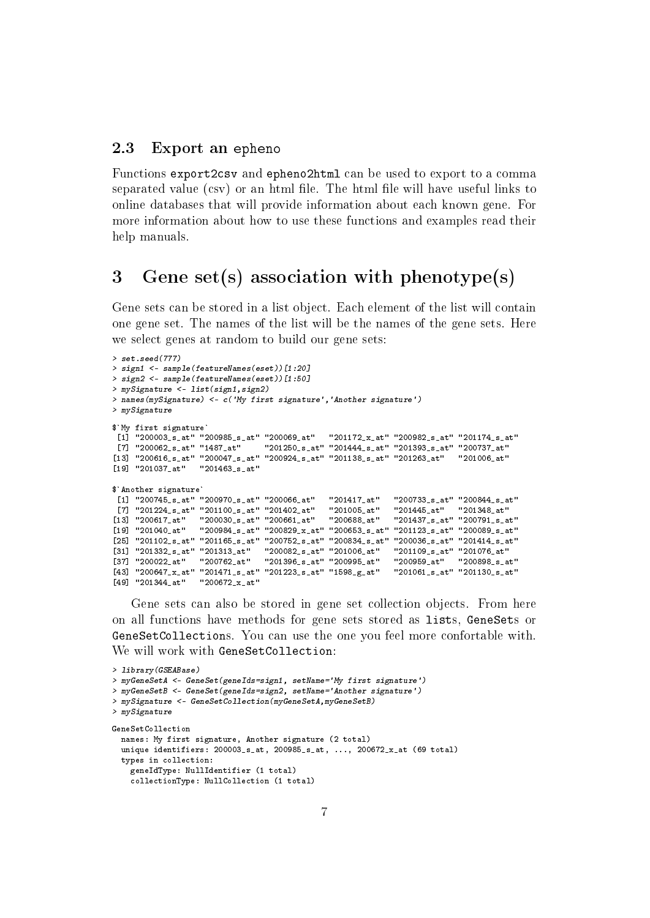#### <span id="page-6-0"></span>2.3 Export an epheno

Functions export2csv and epheno2html can be used to export to a comma separated value (csv) or an html file. The html file will have useful links to online databases that will provide information about each known gene. For more information about how to use these functions and examples read their help manuals.

### <span id="page-6-1"></span>3 Gene set(s) association with phenotype(s)

Gene sets can be stored in a list object. Each element of the list will contain one gene set. The names of the list will be the names of the gene sets. Here we select genes at random to build our gene sets:

```
> set.seed(777)
> sign1 <- sample(featureNames(eset))[1:20]
> sign2 <- sample(featureNames(eset))[1:50]
> mySignature <- list(sign1,sign2)
> names(mySignature) <- c('My first signature','Another signature')
> mySignature
$`My first signature`
 [1] "200003_s_at" "200985_s_at" "200069_at" "201172_x_at" "200982_s_at" "201174_s_at"
 [7] "200062_s_at" "1487_at" "201250_s_at" "201444_s_at" "201393_s_at" "200737_at"
[13] "200616_s_at" "200047_s_at" "200924_s_at" "201138_s_at" "201263_at" "201006_at"
[19] "201037_at" "201463_s_at"
$`Another signature`
 [1] "200745_s_at" "200970_s_at" "200066_at" "201417_at" "200733_s_at" "200844_s_at"<br>[7] "201224_s_at" "201100_s_at" "201402_at" "201005_at" "201445_at" "201348_at"
 [7] "201224_s_at" "201100_s_at" "201402_at" "201005_at" "201445_at" "201348_at"
[13] "200617_at" "200030_s_at" "200661_at"
[19] "201040_at" "200984_s_at" "200829_x_at" "200653_s_at" "201123_s_at" "200089_s_at"
-<br>[25] "201102_s_at" "201165_s_at" "200752_s_at" "200834_s_at" "200036_s_at" "201414_s_at"<br>[31] "201332_s_at" "201313_at"   "200082_s_at" "201006_at"   "201109_s_at" "201076_at"
\begin{array}{lllll} \texttt{[31]} \quad \texttt{``201332_s_at''} \quad \texttt{``201313_at''} & \quad \texttt{``200082_s-at''} \quad \texttt{``201006_at''} & \quad \texttt{``201109_s-at''} \quad \texttt{``201076_at''} \\ \texttt{[37]} \quad \texttt{``20022_at''} & \quad \texttt{``200762_at''} & \quad \texttt{``201396_s-at''} \quad \texttt{``200995_at''} & \quad \texttt{``200959_at''} & \quad \texttt{``20\begin{bmatrix} 37 \end{bmatrix} "200022_at" "200762_at" "201396_s_at" "200995_at" "200959_at" "200898_s_at"<br>[43] "200647_x_at" "201471_s_at" "201223_s_at" "1598_g_at" "201061_s_at" "201130_s_at"
-<br>[43] "200647_x_at" "201471_s_at" "201223_s_at" "1598_g_at"
[49] "201344_at" "200672_x_at"
```
Gene sets can also be stored in gene set collection objects. From here on all functions have methods for gene sets stored as lists, GeneSets or GeneSetCollections. You can use the one you feel more confortable with. We will work with GeneSetCollection:

```
> library(GSEABase)
> myGeneSetA <- GeneSet(geneIds=sign1, setName='My first signature')
> myGeneSetB <- GeneSet(geneIds=sign2, setName='Another signature')
> mySignature <- GeneSetCollection(myGeneSetA,myGeneSetB)
> mySignature
GeneSetCollection
  names: My first signature, Another signature (2 total)
  unique identifiers: 200003_s_at, 200985_s_at, ..., 200672_x_at (69 total)
  types in collection:
    geneIdType: NullIdentifier (1 total)
    collectionType: NullCollection (1 total)
```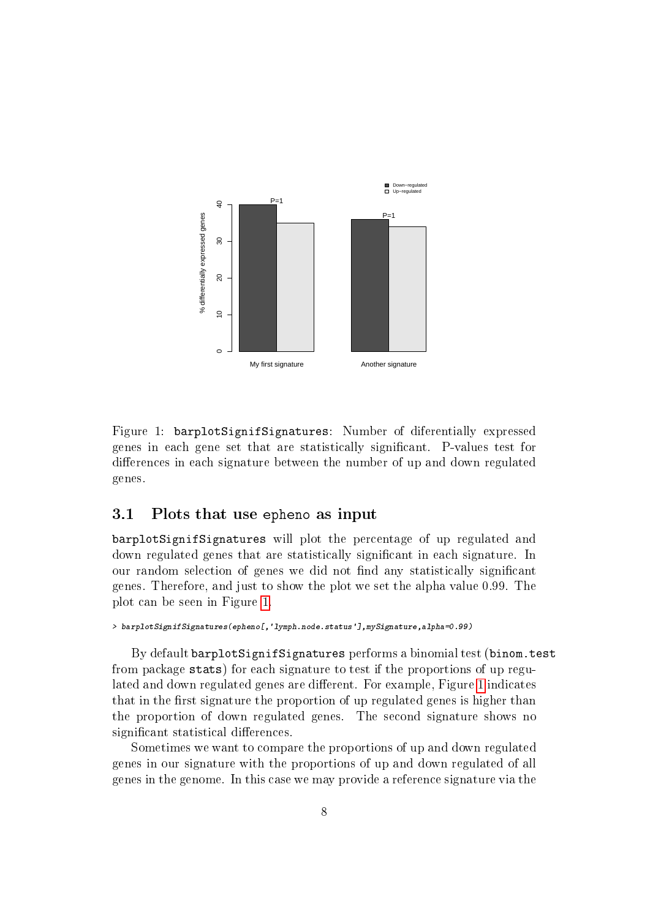

<span id="page-7-1"></span>Figure 1: barplotSignifSignatures: Number of diferentially expressed genes in each gene set that are statistically signicant. P-values test for differences in each signature between the number of up and down regulated genes.

#### <span id="page-7-0"></span>3.1 Plots that use epheno as input

barplotSignifSignatures will plot the percentage of up regulated and down regulated genes that are statistically signicant in each signature. In our random selection of genes we did not find any statistically significant genes. Therefore, and just to show the plot we set the alpha value 0.99. The plot can be seen in Figure [1.](#page-7-1)

> barplotSignifSignatures(epheno[,'lymph.node.status'],mySignature,alpha=0.99)

By default barplotSignifSignatures performs a binomial test (binom.test from package stats) for each signature to test if the proportions of up regu-lated and down regulated genes are different. For example, Figure [1](#page-7-1) indicates that in the first signature the proportion of up regulated genes is higher than the proportion of down regulated genes. The second signature shows no significant statistical differences.

Sometimes we want to compare the proportions of up and down regulated genes in our signature with the proportions of up and down regulated of all genes in the genome. In this case we may provide a reference signature via the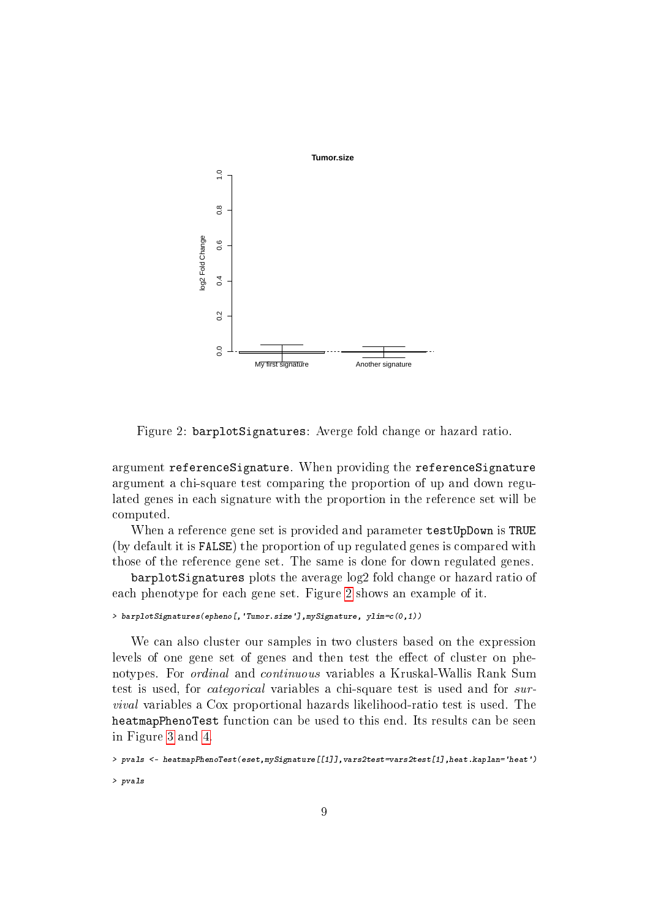

<span id="page-8-0"></span>Figure 2: barplotSignatures: Averge fold change or hazard ratio.

argument referenceSignature. When providing the referenceSignature argument a chi-square test comparing the proportion of up and down regulated genes in each signature with the proportion in the reference set will be computed.

When a reference gene set is provided and parameter testUpDown is TRUE (by default it is FALSE) the proportion of up regulated genes is compared with those of the reference gene set. The same is done for down regulated genes.

barplotSignatures plots the average log2 fold change or hazard ratio of each phenotype for each gene set. Figure [2](#page-8-0) shows an example of it.

```
> barplotSignatures(epheno[,'Tumor.size'],mySignature, ylim=c(0,1))
```
We can also cluster our samples in two clusters based on the expression levels of one gene set of genes and then test the effect of cluster on phenotypes. For ordinal and continuous variables a Kruskal-Wallis Rank Sum test is used, for categorical variables a chi-square test is used and for survival variables a Cox proportional hazards likelihood-ratio test is used. The heatmapPhenoTest function can be used to this end. Its results can be seen in Figure [3](#page-9-1) and [4.](#page-10-0)

```
> pvals <- heatmapPhenoTest(eset,mySignature[[1]],vars2test=vars2test[1],heat.kaplan='heat')
> pvals
```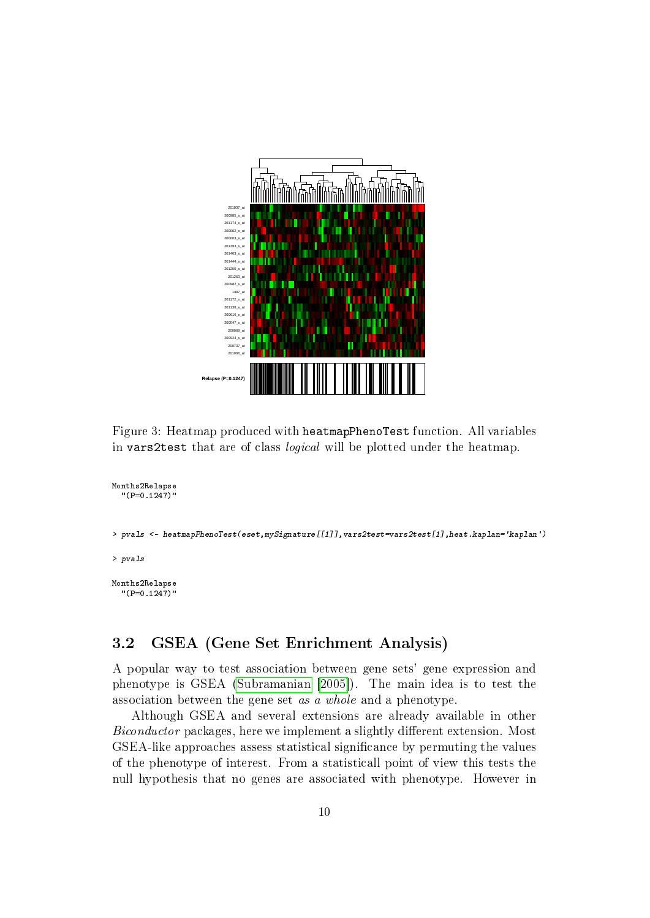

<span id="page-9-1"></span>Figure 3: Heatmap produced with heatmapPhenoTest function. All variables in vars2test that are of class logical will be plotted under the heatmap.

```
Months2Relapse
  "(P=0.1247)"
> pvals <- heatmapPhenoTest(eset,mySignature[[1]],vars2test=vars2test[1],heat.kaplan='kaplan')
> pvals
Months2Relapse
  "(P=0.1247)"
```
## <span id="page-9-0"></span>3.2 GSEA (Gene Set Enrichment Analysis)

A popular way to test association between gene sets' gene expression and phenotype is GSEA [\(Subramanian](#page-15-0) [\[2005\]](#page-15-0)). The main idea is to test the association between the gene set as a whole and a phenotype.

Although GSEA and several extensions are already available in other Biconductor packages, here we implement a slightly different extension. Most GSEA-like approaches assess statistical significance by permuting the values of the phenotype of interest. From a statisticall point of view this tests the null hypothesis that no genes are associated with phenotype. However in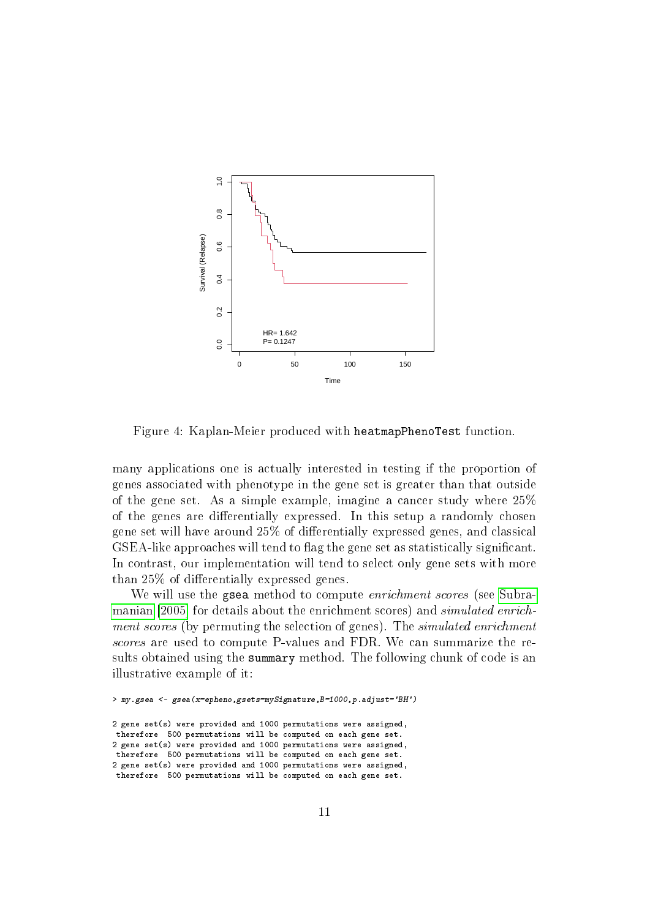

<span id="page-10-0"></span>Figure 4: Kaplan-Meier produced with heatmapPhenoTest function.

many applications one is actually interested in testing if the proportion of genes associated with phenotype in the gene set is greater than that outside of the gene set. As a simple example, imagine a cancer study where 25% of the genes are differentially expressed. In this setup a randomly chosen gene set will have around 25% of differentially expressed genes, and classical GSEA-like approaches will tend to flag the gene set as statistically significant. In contrast, our implementation will tend to select only gene sets with more than  $25\%$  of differentially expressed genes.

We will use the gsea method to compute *enrichment scores* (see [Subra](#page-15-0)[manian](#page-15-0) [\[2005\]](#page-15-0) for details about the enrichment scores) and simulated enrichment scores (by permuting the selection of genes). The *simulated enrichment* scores are used to compute P-values and FDR. We can summarize the results obtained using the summary method. The following chunk of code is an illustrative example of it:

```
> my.gsea <- gsea(x=epheno,gsets=mySignature,B=1000,p.adjust='BH')
```
2 gene set(s) were provided and 1000 permutations were assigned, therefore 500 permutations will be computed on each gene set. 2 gene set(s) were provided and 1000 permutations were assigned, therefore 500 permutations will be computed on each gene set. 2 gene set(s) were provided and 1000 permutations were assigned, therefore 500 permutations will be computed on each gene set.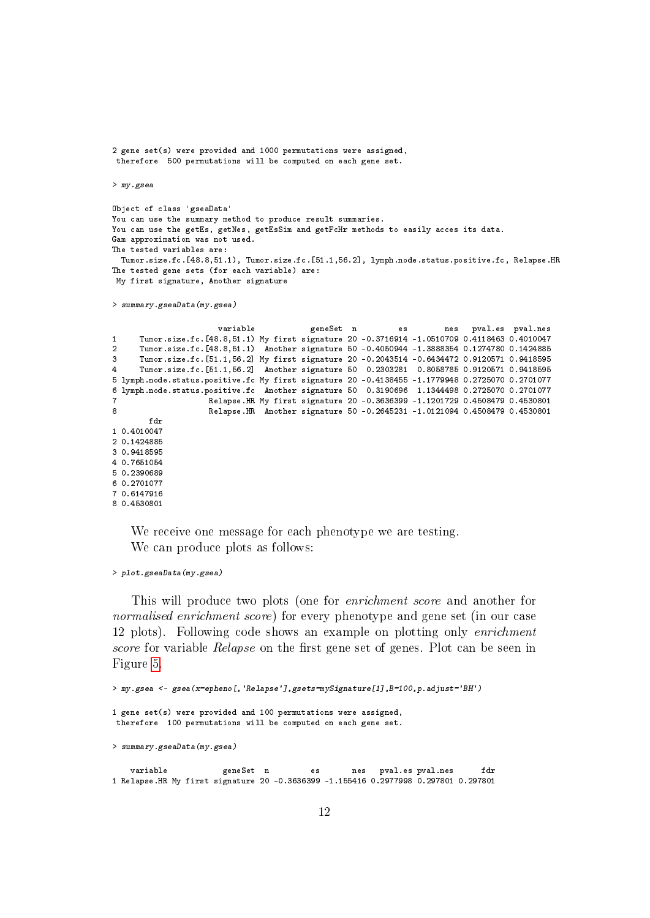```
2 gene set(s) were provided and 1000 permutations were assigned,
 therefore 500 permutations will be computed on each gene set.
> my.gsea
Object of class 'gseaData'
You can use the summary method to produce result summaries.
You can use the getEs, getNes, getEsSim and getFcHr methods to easily acces its data.
Gam approximation was not used.
The tested variables are:
 Tumor.size.fc.[48.8,51.1), Tumor.size.fc.[51.1,56.2], lymph.node.status.positive.fc, Relapse.HR
The tested gene sets (for each variable) are:
 My first signature, Another signature
> summary.gseaData(my.gsea)
                      variable geneSet n es nes pval.es pval.nes
1 Tumor.size.fc.[48.8,51.1) My first signature 20 -0.3716914 -1.0510709 0.4118463 0.4010047
2 Tumor.size.fc.[48.8,51.1) Another signature 50 -0.4050944 -1.3888354 0.1274780 0.1424885
3 Tumor.size.fc.[51.1,56.2] My first signature 20 -0.2043514 -0.6434472 0.9120571 0.9418595
     4 Tumor.size.fc.[51.1,56.2] Another signature 50 0.2303281 0.8058785 0.9120571 0.9418595
5 lymph.node.status.positive.fc My first signature 20 -0.4138455 -1.1779948 0.2725070 0.2701077
6 lymph.node.status.positive.fc Another signature 50 0.3190696 1.1344498 0.2725070 0.2701077
                    7 Relapse.HR My first signature 20 -0.3636399 -1.1201729 0.4508479 0.4530801
8 Relapse.HR Another signature 50 -0.2645231 -1.0121094 0.4508479 0.4530801
       fdr
1 0.4010047
2 0.1424885
3 0.9418595
4 0.7651054
5 0.2390689
6 0.2701077
7 0.6147916
8 0.4530801
```
We receive one message for each phenotype we are testing. We can produce plots as follows:

```
> plot.gseaData(my.gsea)
```
This will produce two plots (one for enrichment score and another for normalised enrichment score) for every phenotype and gene set (in our case 12 plots). Following code shows an example on plotting only enrichment score for variable Relapse on the first gene set of genes. Plot can be seen in Figure [5.](#page-12-0)

```
> my.gsea <- gsea(x=epheno[,'Relapse'],gsets=mySignature[1],B=100,p.adjust='BH')
1 gene set(s) were provided and 100 permutations were assigned,
therefore 100 permutations will be computed on each gene set.
> summary.gseaData(my.gsea)
   variable geneSet n es nes pval.es pval.nes fdr
1 Relapse.HR My first signature 20 -0.3636399 -1.155416 0.2977998 0.297801 0.297801
```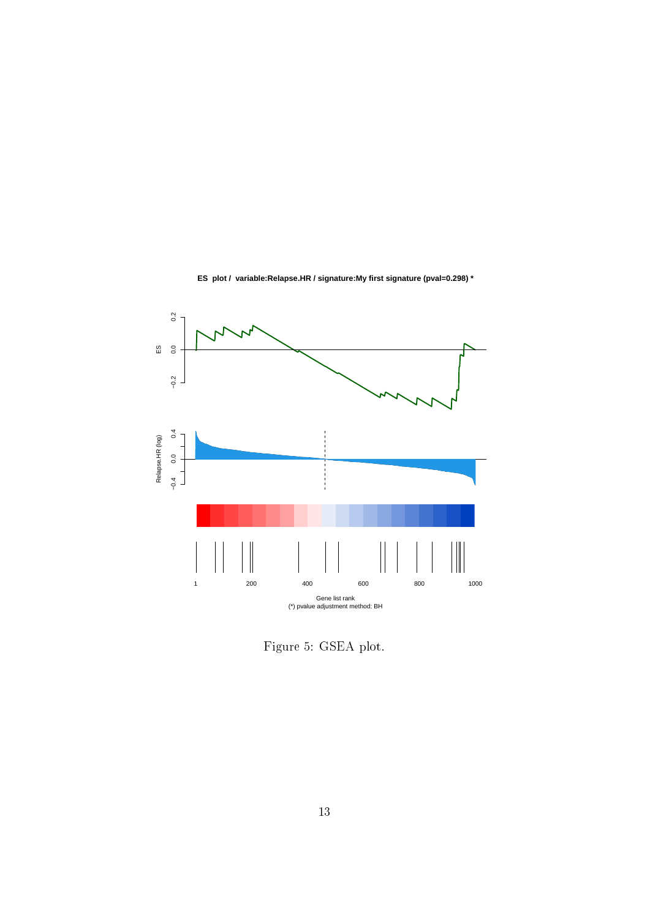

**ES plot / variable:Relapse.HR / signature:My first signature (pval=0.298) \***

<span id="page-12-0"></span>Figure 5: GSEA plot.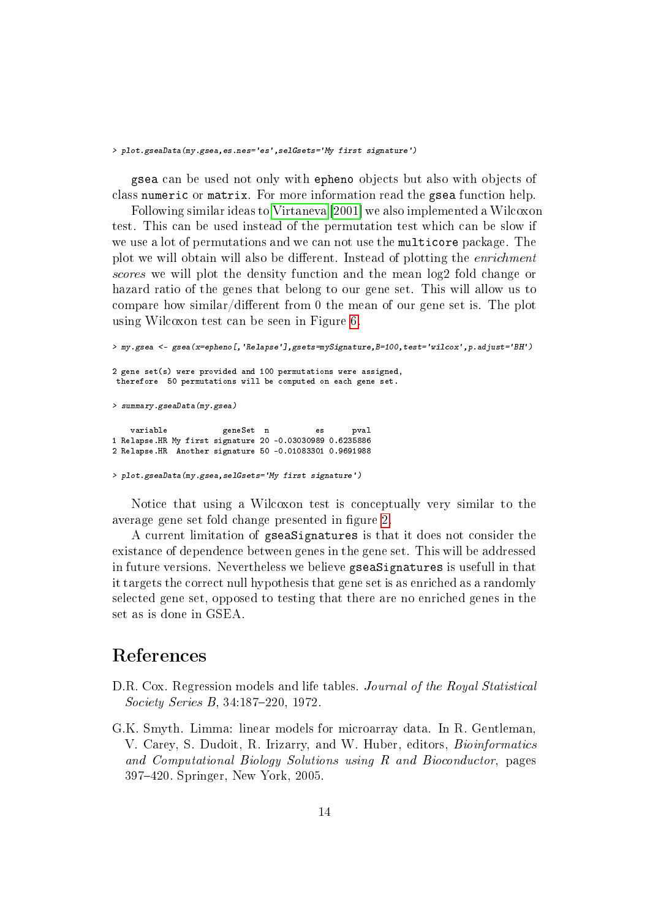#### > plot.gseaData(my.gsea,es.nes='es',selGsets='My first signature')

gsea can be used not only with epheno objects but also with objects of class numeric or matrix. For more information read the gsea function help.

Following similar ideas to [Virtaneva](#page-15-1) [\[2001\]](#page-15-1) we also implemented a Wilcoxon test. This can be used instead of the permutation test which can be slow if we use a lot of permutations and we can not use the multicore package. The plot we will obtain will also be different. Instead of plotting the *enrichment* scores we will plot the density function and the mean log2 fold change or hazard ratio of the genes that belong to our gene set. This will allow us to compare how similar/different from 0 the mean of our gene set is. The plot using Wilcoxon test can be seen in Figure [6.](#page-14-0)

> my.gsea <- gsea(x=epheno[,'Relapse'],gsets=mySignature,B=100,test='wilcox',p.adjust='BH') 2 gene set(s) were provided and 100 permutations were assigned, therefore 50 permutations will be computed on each gene set. > summary.gseaData(my.gsea) variable **geneSet** n es pval 1 Relapse.HR My first signature 20 -0.03030989 0.6235886 2 Relapse.HR Another signature 50 -0.01083301 0.9691988 > plot.gseaData(my.gsea,selGsets='My first signature')

Notice that using a Wilcoxon test is conceptually very similar to the average gene set fold change presented in figure [2.](#page-8-0)

A current limitation of gseaSignatures is that it does not consider the existance of dependence between genes in the gene set. This will be addressed in future versions. Nevertheless we believe gseaSignatures is usefull in that it targets the correct null hypothesis that gene set is as enriched as a randomly selected gene set, opposed to testing that there are no enriched genes in the set as is done in GSEA.

# References

- <span id="page-13-1"></span>D.R. Cox. Regression models and life tables. Journal of the Royal Statistical  $Society Series B, 34:187-220, 1972.$
- <span id="page-13-0"></span>G.K. Smyth. Limma: linear models for microarray data. In R. Gentleman, V. Carey, S. Dudoit, R. Irizarry, and W. Huber, editors, Bioinformatics and Computational Biology Solutions using R and Bioconductor, pages 397420. Springer, New York, 2005.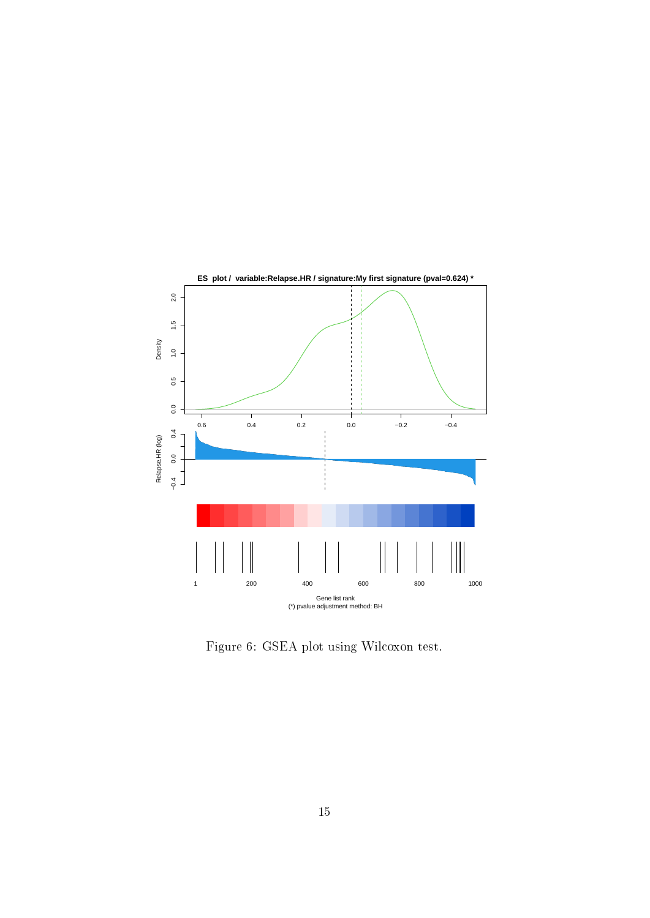

<span id="page-14-0"></span>Figure 6: GSEA plot using Wilcoxon test.